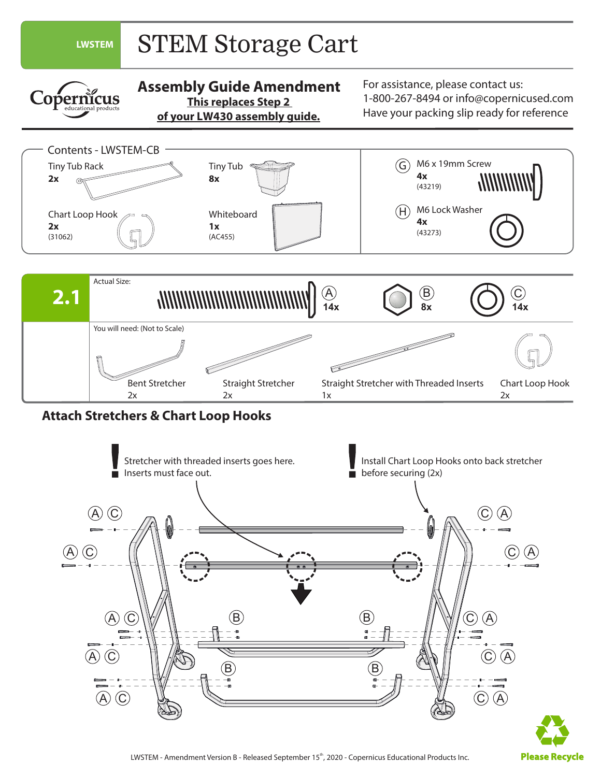

 $\left( \mathsf{A}\right) \left( \mathsf{C}\right)$ 

**Please Recycle**

 $\circled{c}$   $\circled{A}$